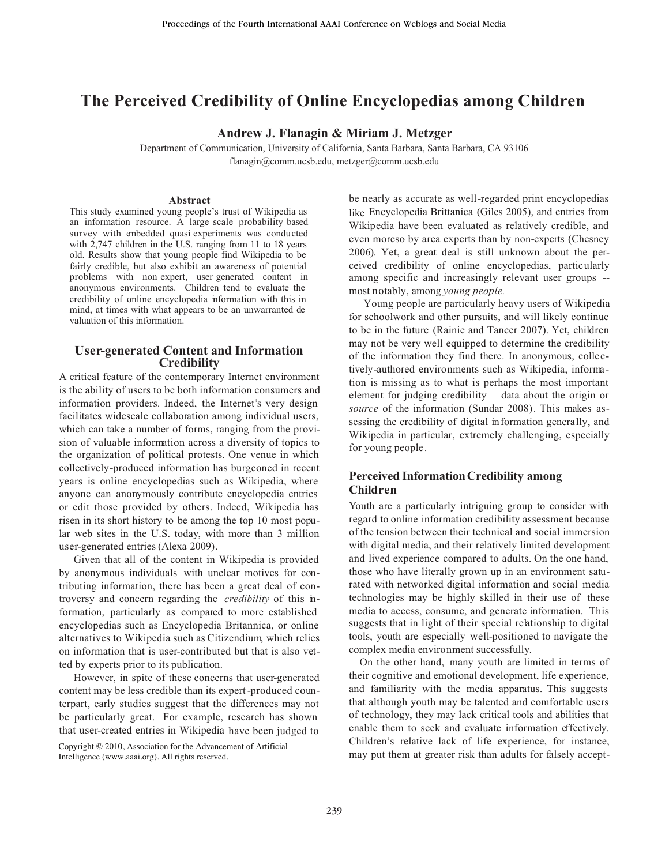# **The Perceived Credibility of Online Encyclopedias mong Children a**

**Andrew J. Flanagin & Miriam J. Metzger**

Department of Communication, University of California, Santa Barbara, Santa Barbara, CA 93106 flanagin@comm.ucsb.edu, metzger@comm.ucsb.edu

#### **Abstract**

This study examined young people's trust of Wikipedia as an information resource. A large scale probability based survey with embedded quasi experiments was conducted with 2,747 children in the U.S. ranging from 11 to 18 years old. Results show that young people find Wikipedia to be fairly credible, but also exhibit an awareness of potential problems with non expert, user generated content in anonymous environments. Children tend to evaluate the credibility of online encyclopedia information with this in mind, at times with what appears to be an unwarranted de valuation of this information.

#### **User-generated Content and Information Credibility**

A critical feature of the contemporary Internet environment is the ability of users to be both information consumers and information providers. Indeed, the Internet's very design facilitates widescale collaboration among individual users, which can take a number of forms, ranging from the provision of valuable information across a diversity of topics to the organization of political protests. One venue in which collectively-produced information has burgeoned in recent years is online encyclopedias such as Wikipedia, where anyone can anonymously contribute encyclopedia entries or edit those provided by others. Indeed, Wikipedia has risen in its short history to be among the top 10 most popular web sites in the U.S. today, with more than 3 million user-generated entries (Alexa 2009).

Given that all of the content in Wikipedia is provided by anonymous individuals with unclear motives for contributing information, there has been a great deal of controversy and concern regarding the *credibility* of this information, particularly as compared to more established encyclopedias such as Encyclopedia Britannica, or online alternatives to Wikipedia such as Citizendium, which relies on information that is user-contributed but that is also vetted by experts prior to its publication.

However, in spite of these concerns that user-generated content may be less credible than its expert -produced counterpart, early studies suggest that the differences may not be particularly great. For example, research has shown that user-created entries in Wikipedia have been judged to

 Copyright © 2010, Association for the Advancement of Artificial Intelligence (www.aaai.org). All rights reserved.

be nearly as accurate as well-regarded print encyclopedias like Encyclopedia Brittanica (Giles 2005), and entries from Wikipedia have been evaluated as relatively credible, and even moreso by area experts than by non-experts (Chesney 2006). Yet, a great deal is still unknown about the perceived credibility of online encyclopedias, particularly among specific and increasingly relevant user groups - most notably, among *young people.*

Young people are particularly heavy users of Wikipedia for schoolwork and other pursuits, and will likely continue to be in the future (Rainie and Tancer 2007). Yet, children may not be very well equipped to determine the credibility of the information they find there. In anonymous, collectively-authored environments such as Wikipedia, information is missing as to what is perhaps the most important element for judging credibility – data about the origin or *source* of the information (Sundar 2008). This makes assessing the credibility of digital information generally, and Wikipedia in particular, extremely challenging, especially for young people.

# **Perceived Information Credibility among Children**

Youth are a particularly intriguing group to consider with regard to online information credibility assessment because of the tension between their technical and social immersion with digital media, and their relatively limited development and lived experience compared to adults. On the one hand, those who have literally grown up in an environment saturated with networked digital information and social media technologies may be highly skilled in their use of these media to access, consume, and generate information. This suggests that in light of their special relationship to digital tools, youth are especially well-positioned to navigate the complex media environment successfully.

On the other hand, many youth are limited in terms of their cognitive and emotional development, life experience, and familiarity with the media apparatus. This suggests that although youth may be talented and comfortable users of technology, they may lack critical tools and abilities that enable them to seek and evaluate information effectively. Children's relative lack of life experience, for instance, may put them at greater risk than adults for falsely accept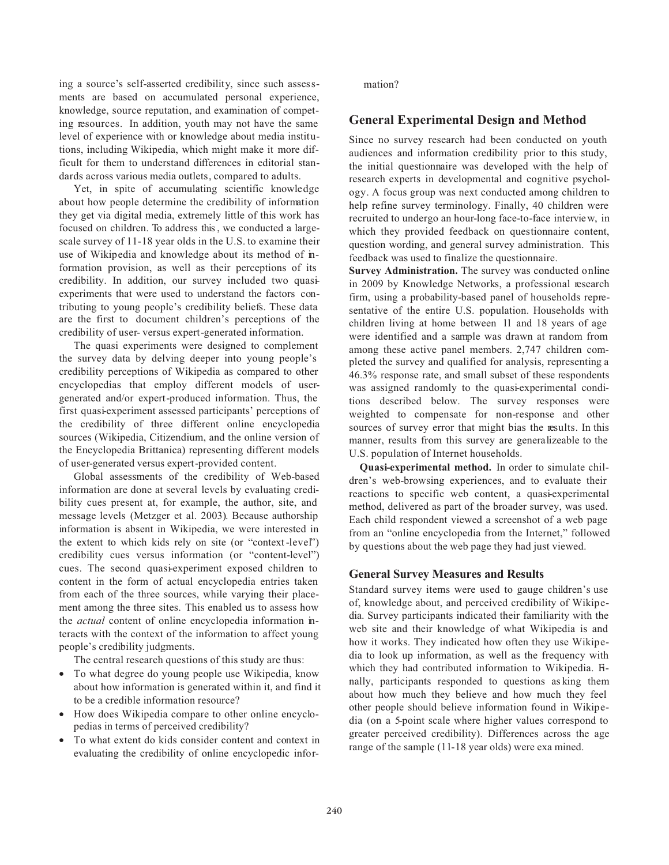ing a source's self-asserted credibility, since such assessments are based on accumulated personal experience, knowledge, source reputation, and examination of competing resources. In addition, youth may not have the same level of experience with or knowledge about media institutions, including Wikipedia, which might make it more difficult for them to understand differences in editorial standards across various media outlets, compared to adults.

Yet, in spite of accumulating scientific knowledge about how people determine the credibility of information they get via digital media, extremely little of this work has focused on children. To address this , we conducted a largescale survey of 11-18 year olds in the U.S. to examine their use of Wikipedia and knowledge about its method of information provision, as well as their perceptions of its credibility. In addition, our survey included two quasiexperiments that were used to understand the factors contributing to young people's credibility beliefs. These data are the first to document children's perceptions of the credibility of user- versus expert-generated information.

The quasi experiments were designed to complement the survey data by delving deeper into young people's credibility perceptions of Wikipedia as compared to other encyclopedias that employ different models of usergenerated and/or expert-produced information. Thus, the first quasi-experiment assessed participants' perceptions of the credibility of three different online encyclopedia sources (Wikipedia, Citizendium, and the online version of the Encyclopedia Brittanica) representing different models of user-generated versus expert-provided content.

Global assessments of the credibility of Web-based information are done at several levels by evaluating credibility cues present at, for example, the author, site, and message levels (Metzger et al. 2003). Because authorship information is absent in Wikipedia, we were interested in the extent to which kids rely on site (or "context -level") credibility cues versus information (or "content-level") cues. The second quasi-experiment exposed children to content in the form of actual encyclopedia entries taken from each of the three sources, while varying their placement among the three sites. This enabled us to assess how the *actual* content of online encyclopedia information interacts with the context of the information to affect young people's credibility judgments.

The central research questions of this study are thus:

- To what degree do young people use Wikipedia, know about how information is generated within it, and find it to be a credible information resource?
- How does Wikipedia compare to other online encyclopedias in terms of perceived credibility?
- To what extent do kids consider content and context in evaluating the credibility of online encyclopedic infor-

mation?

# **General Experimental Design and Method**

Since no survey research had been conducted on youth audiences and information credibility prior to this study, the initial questionnaire was developed with the help of research experts in developmental and cognitive psychology. A focus group was next conducted among children to help refine survey terminology. Finally, 40 children were recruited to undergo an hour-long face-to-face intervie w, in which they provided feedback on questionnaire content, question wording, and general survey administration. This feedback was used to finalize the questionnaire.

**Survey Administration.** The survey was conducted online in 2009 by Knowledge Networks, a professional research firm, using a probability-based panel of households representative of the entire U.S. population. Households with children living at home between 11 and 18 years of age were identified and a sample was drawn at random from among these active panel members. 2,747 children completed the survey and qualified for analysis, representing a 46.3% response rate, and small subset of these respondents was assigned randomly to the quasi-experimental conditions described below. The survey responses were weighted to compensate for non-response and other sources of survey error that might bias the results. In this manner, results from this survey are generalizeable to the U.S. population of Internet households.

**Quasi-experimental method.** In order to simulate children's web-browsing experiences, and to evaluate their reactions to specific web content, a quasi-experimental method, delivered as part of the broader survey, was used. Each child respondent viewed a screenshot of a web page from an "online encyclopedia from the Internet," followed by questions about the web page they had just viewed.

# **General Survey Measures and Results**

Standard survey items were used to gauge children's use of, knowledge about, and perceived credibility of Wikipedia. Survey participants indicated their familiarity with the web site and their knowledge of what Wikipedia is and how it works. They indicated how often they use Wikipedia to look up information, as well as the frequency with which they had contributed information to Wikipedia. Finally, participants responded to questions as king them about how much they believe and how much they feel other people should believe information found in Wikipedia (on a 5-point scale where higher values correspond to greater perceived credibility). Differences across the age range of the sample (11-18 year olds) were exa mined.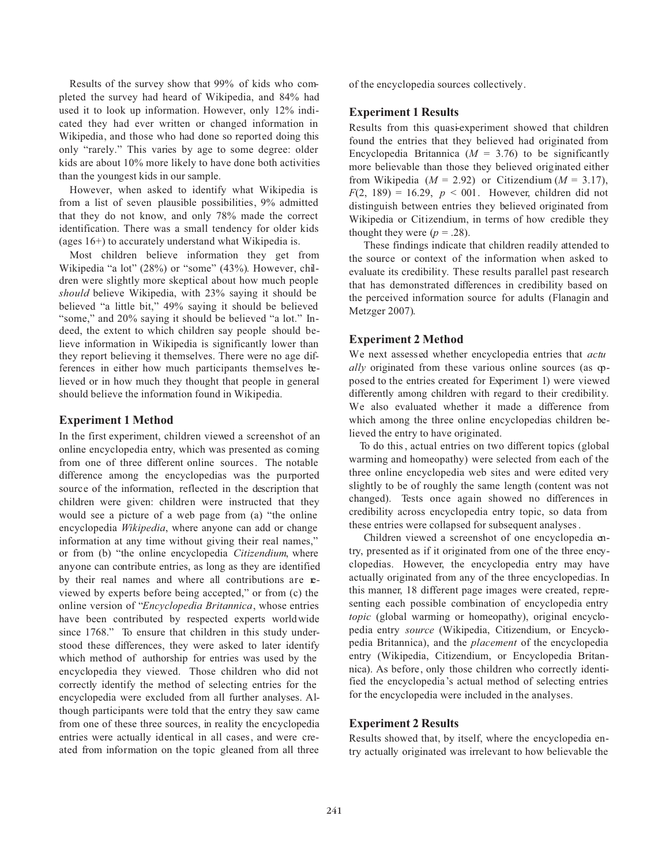Results of the survey show that 99% of kids who completed the survey had heard of Wikipedia, and 84% had used it to look up information. However, only 12% indicated they had ever written or changed information in Wikipedia, and those who had done so reported doing this only "rarely." This varies by age to some degree: older kids are about 10% more likely to have done both activities than the youngest kids in our sample.

However, when asked to identify what Wikipedia is from a list of seven plausible possibilities, 9% admitted that they do not know, and only 78% made the correct identification. There was a small tendency for older kids (ages 16+) to accurately understand what Wikipedia is.

Most children believe information they get from Wikipedia "a lot" (28%) or "some" (43%). However, children were slightly more skeptical about how much people *should* believe Wikipedia, with 23% saying it should be believed "a little bit," 49% saying it should be believed "some," and 20% saying it should be believed "a lot." Indeed, the extent to which children say people should believe information in Wikipedia is significantly lower than they report believing it themselves. There were no age differences in either how much participants themselves believed or in how much they thought that people in general should believe the information found in Wikipedia.

# **Experiment 1 Method**

In the first experiment, children viewed a screenshot of an online encyclopedia entry, which was presented as coming from one of three different online sources. The notable difference among the encyclopedias was the purported source of the information, reflected in the description that children were given: children were instructed that they would see a picture of a web page from (a) "the online encyclopedia *Wikipedia*, where anyone can add or change information at any time without giving their real names," or from (b) "the online encyclopedia *Citizendium*, where anyone can contribute entries, as long as they are identified by their real names and where all contributions are **e**viewed by experts before being accepted," or from (c) the online version of "*Encyclopedia Britannica*, whose entries have been contributed by respected experts worldwide since 1768." To ensure that children in this study understood these differences, they were asked to later identify which method of authorship for entries was used by the encyclopedia they viewed. Those children who did not correctly identify the method of selecting entries for the encyclopedia were excluded from all further analyses. Although participants were told that the entry they saw came from one of these three sources, in reality the encyclopedia entries were actually identical in all cases, and were created from information on the topic gleaned from all three

of the encyclopedia sources collectively.

#### **Experiment 1 Results**

Results from this quasi-experiment showed that children found the entries that they believed had originated from Encyclopedia Britannica  $(M = 3.76)$  to be significantly more believable than those they believed originated either from Wikipedia  $(M = 2.92)$  or Citizendium  $(M = 3.17)$ ,  $F(2, 189) = 16.29$ ,  $p < 001$ . However, children did not distinguish between entries they believed originated from Wikipedia or Citizendium, in terms of how credible they thought they were  $(p = .28)$ .

These findings indicate that children readily attended to the source or context of the information when asked to evaluate its credibility. These results parallel past research that has demonstrated differences in credibility based on the perceived information source for adults (Flanagin and Metzger 2007).

# **Experiment 2 Method**

We next assessed whether encyclopedia entries that *actu ally* originated from these various online sources (as opposed to the entries created for Experiment 1) were viewed differently among children with regard to their credibility. We also evaluated whether it made a difference from which among the three online encyclopedias children believed the entry to have originated.

To do this , actual entries on two different topics (global warming and homeopathy) were selected from each of the three online encyclopedia web sites and were edited very slightly to be of roughly the same length (content was not changed). Tests once again showed no differences in credibility across encyclopedia entry topic, so data from these entries were collapsed for subsequent analyses .

Children viewed a screenshot of one encyclopedia entry, presented as if it originated from one of the three encyclopedias. However, the encyclopedia entry may have actually originated from any of the three encyclopedias. In this manner, 18 different page images were created, representing each possible combination of encyclopedia entry *topic* (global warming or homeopathy), original encyclopedia entry *source* (Wikipedia, Citizendium, or Encyclopedia Britannica), and the *placement* of the encyclopedia entry (Wikipedia, Citizendium, or Encyclopedia Britannica). As before, only those children who correctly identified the encyclopedia's actual method of selecting entries for the encyclopedia were included in the analyses.

#### **Experiment 2 Results**

Results showed that, by itself, where the encyclopedia entry actually originated was irrelevant to how believable the